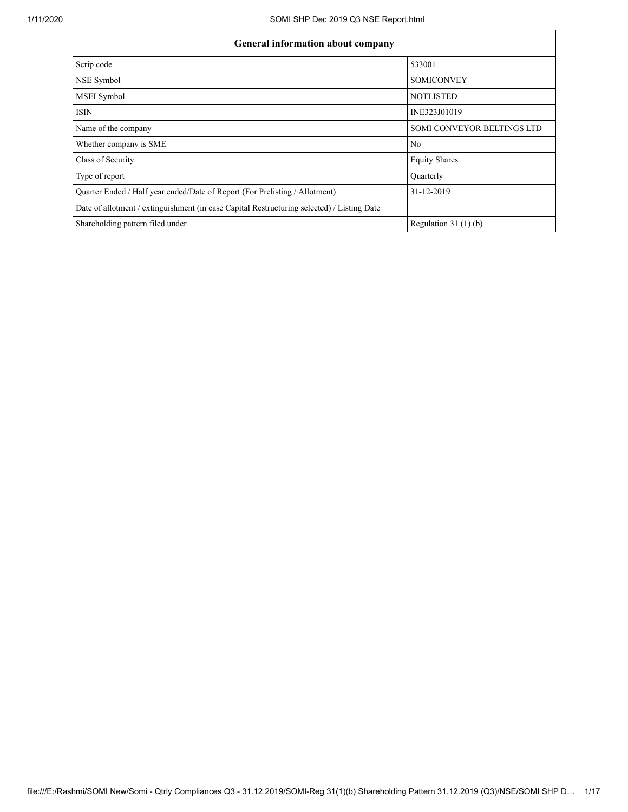| <b>General information about company</b>                                                   |                                   |  |  |  |  |  |
|--------------------------------------------------------------------------------------------|-----------------------------------|--|--|--|--|--|
| Scrip code                                                                                 | 533001                            |  |  |  |  |  |
| NSE Symbol                                                                                 | <b>SOMICONVEY</b>                 |  |  |  |  |  |
| <b>MSEI</b> Symbol                                                                         | <b>NOTLISTED</b>                  |  |  |  |  |  |
| <b>ISIN</b>                                                                                | INE323J01019                      |  |  |  |  |  |
| Name of the company                                                                        | <b>SOMI CONVEYOR BELTINGS LTD</b> |  |  |  |  |  |
| Whether company is SME                                                                     | No                                |  |  |  |  |  |
| Class of Security                                                                          | <b>Equity Shares</b>              |  |  |  |  |  |
| Type of report                                                                             | Quarterly                         |  |  |  |  |  |
| Quarter Ended / Half year ended/Date of Report (For Prelisting / Allotment)                | 31-12-2019                        |  |  |  |  |  |
| Date of allotment / extinguishment (in case Capital Restructuring selected) / Listing Date |                                   |  |  |  |  |  |
| Shareholding pattern filed under                                                           | Regulation 31 $(1)(b)$            |  |  |  |  |  |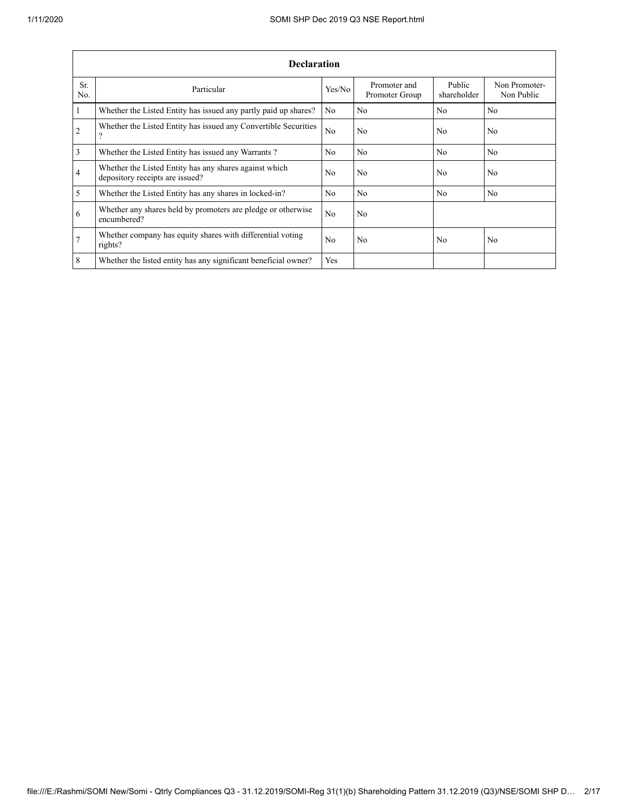|                 | <b>Declaration</b>                                                                        |                |                                |                       |                             |  |  |  |  |  |
|-----------------|-------------------------------------------------------------------------------------------|----------------|--------------------------------|-----------------------|-----------------------------|--|--|--|--|--|
| Sr.<br>No.      | Particular                                                                                | Yes/No         | Promoter and<br>Promoter Group | Public<br>shareholder | Non Promoter-<br>Non Public |  |  |  |  |  |
| $\vert$ 1       | Whether the Listed Entity has issued any partly paid up shares?                           | N <sub>0</sub> | N <sub>0</sub>                 | No                    | N <sub>0</sub>              |  |  |  |  |  |
| $\overline{2}$  | Whether the Listed Entity has issued any Convertible Securities<br>9                      | N <sub>0</sub> | N <sub>0</sub>                 | N <sub>0</sub>        | N <sub>0</sub>              |  |  |  |  |  |
| $\overline{3}$  | Whether the Listed Entity has issued any Warrants?                                        | N <sub>0</sub> | N <sub>0</sub>                 | N <sub>0</sub>        | N <sub>0</sub>              |  |  |  |  |  |
| $\overline{4}$  | Whether the Listed Entity has any shares against which<br>depository receipts are issued? | N <sub>0</sub> | N <sub>0</sub>                 | N <sub>0</sub>        | N <sub>0</sub>              |  |  |  |  |  |
| $\overline{5}$  | Whether the Listed Entity has any shares in locked-in?                                    | N <sub>0</sub> | N <sub>0</sub>                 | N <sub>0</sub>        | N <sub>0</sub>              |  |  |  |  |  |
| 6               | Whether any shares held by promoters are pledge or otherwise<br>encumbered?               | N <sub>0</sub> | N <sub>0</sub>                 |                       |                             |  |  |  |  |  |
| $7\overline{ }$ | Whether company has equity shares with differential voting<br>rights?                     | N <sub>0</sub> | N <sub>0</sub>                 | N <sub>0</sub>        | N <sub>0</sub>              |  |  |  |  |  |
| 8               | Whether the listed entity has any significant beneficial owner?                           | Yes            |                                |                       |                             |  |  |  |  |  |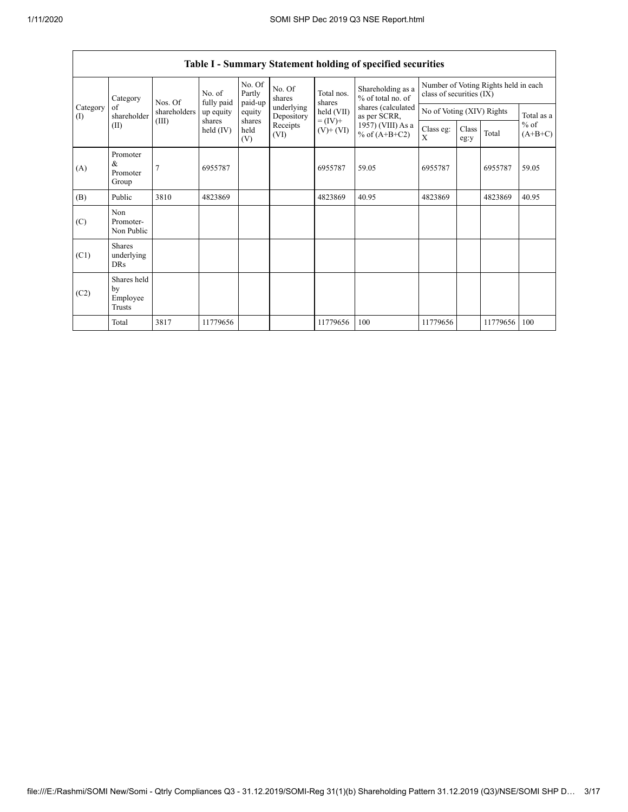| Category        | Nos. Of                                   | No. of<br>fully paid                                                                                                           | No. Of<br>Partly<br>paid-up | No. Of<br>shares | Total nos.<br>shares     | Shareholding as a<br>% of total no. of | Number of Voting Rights held in each<br>class of securities (IX) |                           |  |          |            |
|-----------------|-------------------------------------------|--------------------------------------------------------------------------------------------------------------------------------|-----------------------------|------------------|--------------------------|----------------------------------------|------------------------------------------------------------------|---------------------------|--|----------|------------|
| Category<br>(1) | of<br>shareholder                         | shareholders                                                                                                                   | up equity                   | equity           | underlying<br>Depository | held (VII)                             | shares (calculated<br>as per SCRR,                               | No of Voting (XIV) Rights |  |          | Total as a |
|                 | (II)                                      | (III)<br>shares<br>shares<br>$= (IV) +$<br>Receipts<br>held $(IV)$<br>held<br>$(V)$ + $(VI)$<br>% of $(A+B+C2)$<br>(VI)<br>(V) | $1957)$ (VIII) As a         | Class eg:<br>X   | Class<br>eg:y            | Total                                  | $%$ of<br>$(A+B+C)$                                              |                           |  |          |            |
| (A)             | Promoter<br>&<br>Promoter<br>Group        | $\overline{7}$                                                                                                                 | 6955787                     |                  |                          | 6955787                                | 59.05                                                            | 6955787                   |  | 6955787  | 59.05      |
| (B)             | Public                                    | 3810                                                                                                                           | 4823869                     |                  |                          | 4823869                                | 40.95                                                            | 4823869                   |  | 4823869  | 40.95      |
| (C)             | Non<br>Promoter-<br>Non Public            |                                                                                                                                |                             |                  |                          |                                        |                                                                  |                           |  |          |            |
| (C1)            | <b>Shares</b><br>underlying<br><b>DRs</b> |                                                                                                                                |                             |                  |                          |                                        |                                                                  |                           |  |          |            |
| (C2)            | Shares held<br>by<br>Employee<br>Trusts   |                                                                                                                                |                             |                  |                          |                                        |                                                                  |                           |  |          |            |
|                 | Total                                     | 3817                                                                                                                           | 11779656                    |                  |                          | 11779656                               | 100                                                              | 11779656                  |  | 11779656 | 100        |

## **Table I - Summary Statement holding of specified securities**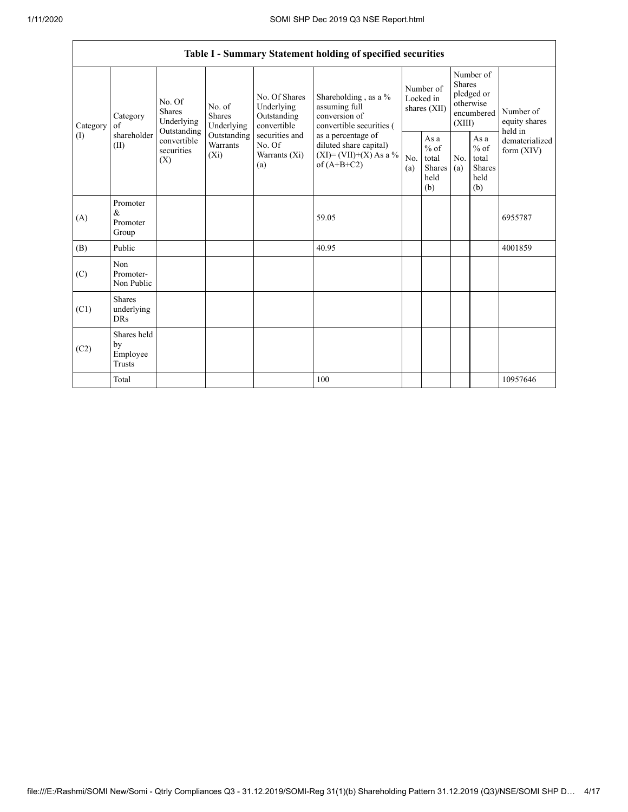| Table I - Summary Statement holding of specified securities |                                           |                                                 |                                                           |                                                                                    |                                                                                            |            |                                                                               |            |                                                         |                                           |
|-------------------------------------------------------------|-------------------------------------------|-------------------------------------------------|-----------------------------------------------------------|------------------------------------------------------------------------------------|--------------------------------------------------------------------------------------------|------------|-------------------------------------------------------------------------------|------------|---------------------------------------------------------|-------------------------------------------|
| Category<br>of<br>Category                                  | No. Of<br><b>Shares</b><br>Underlying     | No. of<br><b>Shares</b><br>Underlying           | No. Of Shares<br>Underlying<br>Outstanding<br>convertible | Shareholding, as a %<br>assuming full<br>conversion of<br>convertible securities ( | Number of<br>Locked in<br>shares (XII)                                                     |            | Number of<br><b>Shares</b><br>pledged or<br>otherwise<br>encumbered<br>(XIII) |            | Number of<br>equity shares                              |                                           |
| (1)                                                         | shareholder<br>(II)                       | Outstanding<br>convertible<br>securities<br>(X) | Outstanding<br>Warrants<br>$(X_i)$                        | securities and<br>No. Of<br>Warrants (Xi)<br>(a)                                   | as a percentage of<br>diluted share capital)<br>$(XI) = (VII)+(X) As a %$<br>of $(A+B+C2)$ | No.<br>(a) | As a<br>$%$ of<br>total<br>Shares<br>held<br>(b)                              | No.<br>(a) | As a<br>$%$ of<br>total<br><b>Shares</b><br>held<br>(b) | held in<br>dematerialized<br>form $(XIV)$ |
| (A)                                                         | Promoter<br>&<br>Promoter<br>Group        |                                                 |                                                           |                                                                                    | 59.05                                                                                      |            |                                                                               |            |                                                         | 6955787                                   |
| (B)                                                         | Public                                    |                                                 |                                                           |                                                                                    | 40.95                                                                                      |            |                                                                               |            |                                                         | 4001859                                   |
| (C)                                                         | Non<br>Promoter-<br>Non Public            |                                                 |                                                           |                                                                                    |                                                                                            |            |                                                                               |            |                                                         |                                           |
| (C1)                                                        | <b>Shares</b><br>underlying<br><b>DRs</b> |                                                 |                                                           |                                                                                    |                                                                                            |            |                                                                               |            |                                                         |                                           |
| (C2)                                                        | Shares held<br>by<br>Employee<br>Trusts   |                                                 |                                                           |                                                                                    |                                                                                            |            |                                                                               |            |                                                         |                                           |
|                                                             | Total                                     |                                                 |                                                           |                                                                                    | 100                                                                                        |            |                                                                               |            |                                                         | 10957646                                  |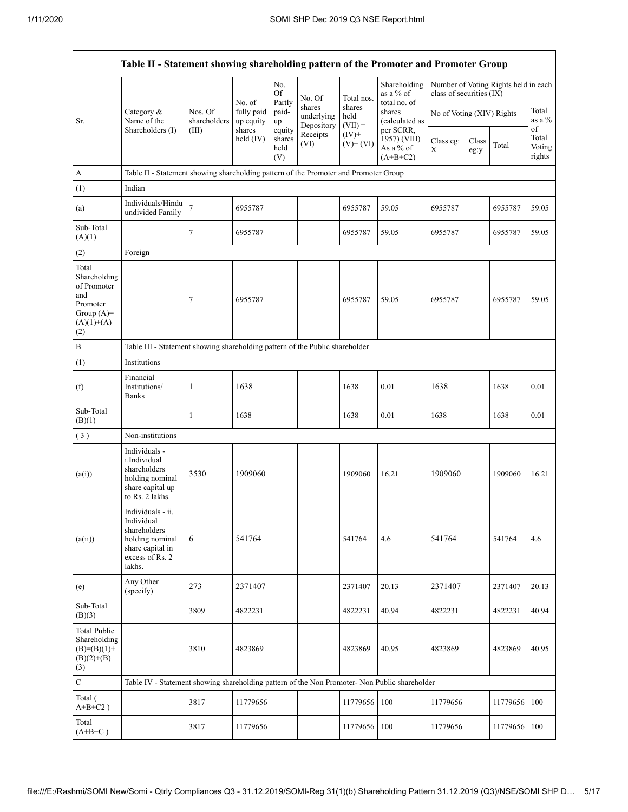|                                                                                                | Table II - Statement showing shareholding pattern of the Promoter and Promoter Group                                |                                  |                                             |                                 |                                    |                             |                                                       |                           |               |                                      |                           |
|------------------------------------------------------------------------------------------------|---------------------------------------------------------------------------------------------------------------------|----------------------------------|---------------------------------------------|---------------------------------|------------------------------------|-----------------------------|-------------------------------------------------------|---------------------------|---------------|--------------------------------------|---------------------------|
|                                                                                                |                                                                                                                     |                                  |                                             | No.<br><b>Of</b>                | No. Of                             | Total nos.                  | Shareholding<br>as a % of                             | class of securities (IX)  |               | Number of Voting Rights held in each |                           |
| Sr.                                                                                            | Category &<br>Name of the<br>Shareholders (I)                                                                       | Nos. Of<br>shareholders<br>(III) | No. of<br>fully paid<br>up equity<br>shares | Partly<br>paid-<br>up<br>equity | shares<br>underlying<br>Depository | shares<br>held<br>$(VII) =$ | total no. of<br>shares<br>(calculated as<br>per SCRR, | No of Voting (XIV) Rights |               |                                      | Total<br>as a %<br>of     |
|                                                                                                |                                                                                                                     |                                  | held $(IV)$                                 | shares<br>held<br>(V)           | Receipts<br>(VI)                   | $(IV)+$<br>$(V)$ + $(VI)$   | 1957) (VIII)<br>As a % of<br>$(A+B+C2)$               | Class eg:<br>X            | Class<br>eg:y | Total                                | Total<br>Voting<br>rights |
| A                                                                                              | Table II - Statement showing shareholding pattern of the Promoter and Promoter Group                                |                                  |                                             |                                 |                                    |                             |                                                       |                           |               |                                      |                           |
| (1)                                                                                            | Indian                                                                                                              |                                  |                                             |                                 |                                    |                             |                                                       |                           |               |                                      |                           |
| (a)                                                                                            | Individuals/Hindu<br>undivided Family                                                                               | $\overline{7}$                   | 6955787                                     |                                 |                                    | 6955787                     | 59.05                                                 | 6955787                   |               | 6955787                              | 59.05                     |
| Sub-Total<br>(A)(1)                                                                            |                                                                                                                     | 7                                | 6955787                                     |                                 |                                    | 6955787                     | 59.05                                                 | 6955787                   |               | 6955787                              | 59.05                     |
| (2)                                                                                            | Foreign                                                                                                             |                                  |                                             |                                 |                                    |                             |                                                       |                           |               |                                      |                           |
| Total<br>Shareholding<br>of Promoter<br>and<br>Promoter<br>Group $(A)=$<br>$(A)(1)+(A)$<br>(2) |                                                                                                                     | 7                                | 6955787                                     |                                 |                                    | 6955787                     | 59.05                                                 | 6955787                   |               | 6955787                              | 59.05                     |
| B                                                                                              | Table III - Statement showing shareholding pattern of the Public shareholder                                        |                                  |                                             |                                 |                                    |                             |                                                       |                           |               |                                      |                           |
| (1)                                                                                            | Institutions                                                                                                        |                                  |                                             |                                 |                                    |                             |                                                       |                           |               |                                      |                           |
| (f)                                                                                            | Financial<br>Institutions/<br><b>Banks</b>                                                                          | 1                                | 1638                                        |                                 |                                    | 1638                        | 0.01                                                  | 1638                      |               | 1638                                 | 0.01                      |
| Sub-Total<br>(B)(1)                                                                            |                                                                                                                     | $\mathbf{1}$                     | 1638                                        |                                 |                                    | 1638                        | 0.01                                                  | 1638                      |               | 1638                                 | 0.01                      |
| (3)                                                                                            | Non-institutions                                                                                                    |                                  |                                             |                                 |                                    |                             |                                                       |                           |               |                                      |                           |
| (a(i))                                                                                         | Individuals -<br>i.Individual<br>shareholders<br>holding nominal<br>share capital up<br>to Rs. 2 lakhs.             | 3530                             | 1909060                                     |                                 |                                    | 1909060                     | 16.21                                                 | 1909060                   |               | 1909060                              | 16.21                     |
| (a(ii))                                                                                        | Individuals - ii.<br>Individual<br>shareholders<br>holding nominal<br>share capital in<br>excess of Rs. 2<br>lakhs. | 6                                | 541764                                      |                                 |                                    | 541764                      | 4.6                                                   | 541764                    |               | 541764                               | 4.6                       |
| (e)                                                                                            | Any Other<br>(specify)                                                                                              | 273                              | 2371407                                     |                                 |                                    | 2371407                     | 20.13                                                 | 2371407                   |               | 2371407                              | 20.13                     |
| Sub-Total<br>(B)(3)                                                                            |                                                                                                                     | 3809                             | 4822231                                     |                                 |                                    | 4822231                     | 40.94                                                 | 4822231                   |               | 4822231                              | 40.94                     |
| <b>Total Public</b><br>Shareholding<br>$(B)=(B)(1)+$<br>$(B)(2)+(B)$<br>(3)                    |                                                                                                                     | 3810                             | 4823869                                     |                                 |                                    | 4823869                     | 40.95                                                 | 4823869                   |               | 4823869                              | 40.95                     |
| $\overline{C}$                                                                                 | Table IV - Statement showing shareholding pattern of the Non Promoter- Non Public shareholder                       |                                  |                                             |                                 |                                    |                             |                                                       |                           |               |                                      |                           |
| Total (<br>$A+B+C2$ )                                                                          |                                                                                                                     | 3817                             | 11779656                                    |                                 |                                    | 11779656                    | 100                                                   | 11779656                  |               | 11779656                             | 100                       |
| Total<br>$(A+B+C)$                                                                             |                                                                                                                     | 3817                             | 11779656                                    |                                 |                                    | 11779656                    | 100                                                   | 11779656                  |               | 11779656                             | 100                       |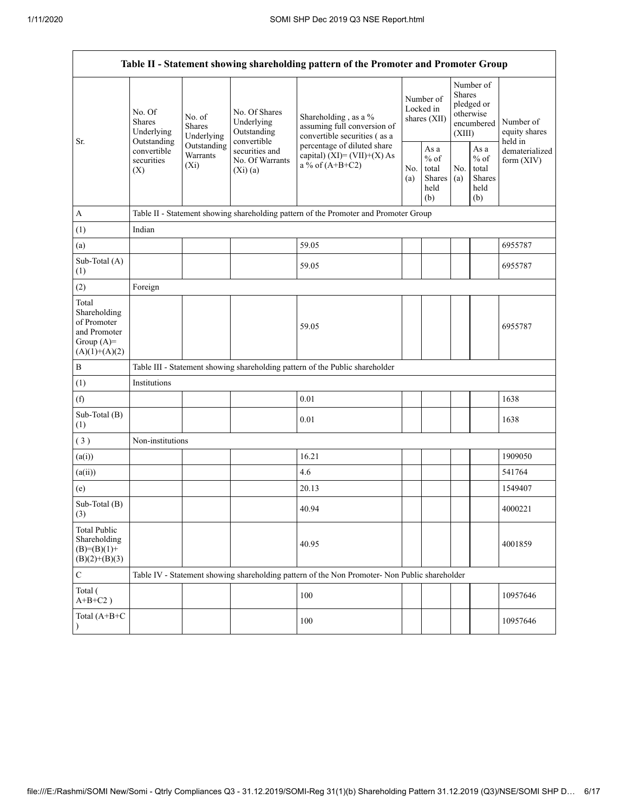| Table II - Statement showing shareholding pattern of the Promoter and Promoter Group    |                                                                                          |                                                                             |                                                                                                           |                                                                                               |            |                                                  |            |                                                                        |                                       |
|-----------------------------------------------------------------------------------------|------------------------------------------------------------------------------------------|-----------------------------------------------------------------------------|-----------------------------------------------------------------------------------------------------------|-----------------------------------------------------------------------------------------------|------------|--------------------------------------------------|------------|------------------------------------------------------------------------|---------------------------------------|
| Sr.                                                                                     | No. Of<br><b>Shares</b><br>Underlying<br>Outstanding<br>convertible<br>securities<br>(X) | No. of<br><b>Shares</b><br>Underlying<br>Outstanding<br>Warrants<br>$(X_i)$ | No. Of Shares<br>Underlying<br>Outstanding<br>convertible<br>securities and<br>No. Of Warrants<br>(Xi)(a) | Shareholding, as a %<br>assuming full conversion of<br>convertible securities (as a           |            | Number of<br>Locked in<br>shares $(XII)$         |            | Number of<br>Shares<br>pledged or<br>otherwise<br>encumbered<br>(XIII) | Number of<br>equity shares<br>held in |
|                                                                                         |                                                                                          |                                                                             |                                                                                                           | percentage of diluted share<br>capital) $(XI) = (VII)+(X) As$<br>a % of $(A+B+C2)$            | No.<br>(a) | As a<br>$%$ of<br>total<br>Shares<br>held<br>(b) | No.<br>(a) | As $\mathbf{a}$<br>$%$ of<br>total<br>Shares<br>held<br>(b)            | dematerialized<br>form (XIV)          |
| $\mathbf{A}$                                                                            |                                                                                          |                                                                             |                                                                                                           | Table II - Statement showing shareholding pattern of the Promoter and Promoter Group          |            |                                                  |            |                                                                        |                                       |
| (1)                                                                                     | Indian                                                                                   |                                                                             |                                                                                                           |                                                                                               |            |                                                  |            |                                                                        |                                       |
| (a)                                                                                     |                                                                                          |                                                                             |                                                                                                           | 59.05                                                                                         |            |                                                  |            |                                                                        | 6955787                               |
| Sub-Total (A)<br>(1)                                                                    |                                                                                          |                                                                             |                                                                                                           | 59.05                                                                                         |            |                                                  |            |                                                                        | 6955787                               |
| (2)                                                                                     | Foreign                                                                                  |                                                                             |                                                                                                           |                                                                                               |            |                                                  |            |                                                                        |                                       |
| Total<br>Shareholding<br>of Promoter<br>and Promoter<br>Group $(A)=$<br>$(A)(1)+(A)(2)$ |                                                                                          |                                                                             |                                                                                                           | 59.05                                                                                         |            |                                                  |            |                                                                        | 6955787                               |
| $\bf{B}$                                                                                |                                                                                          |                                                                             |                                                                                                           | Table III - Statement showing shareholding pattern of the Public shareholder                  |            |                                                  |            |                                                                        |                                       |
| (1)                                                                                     | Institutions                                                                             |                                                                             |                                                                                                           |                                                                                               |            |                                                  |            |                                                                        |                                       |
| (f)                                                                                     |                                                                                          |                                                                             |                                                                                                           | 0.01                                                                                          |            |                                                  |            |                                                                        | 1638                                  |
| Sub-Total (B)<br>(1)                                                                    |                                                                                          |                                                                             |                                                                                                           | 0.01                                                                                          |            |                                                  |            |                                                                        | 1638                                  |
| (3)                                                                                     | Non-institutions                                                                         |                                                                             |                                                                                                           |                                                                                               |            |                                                  |            |                                                                        |                                       |
| (a(i))                                                                                  |                                                                                          |                                                                             |                                                                                                           | 16.21                                                                                         |            |                                                  |            |                                                                        | 1909050                               |
| (a(ii))                                                                                 |                                                                                          |                                                                             |                                                                                                           | 4.6                                                                                           |            |                                                  |            |                                                                        | 541764                                |
| (e)                                                                                     |                                                                                          |                                                                             |                                                                                                           | 20.13                                                                                         |            |                                                  |            |                                                                        | 1549407                               |
| Sub-Total (B)<br>(3)                                                                    |                                                                                          |                                                                             |                                                                                                           | 40.94                                                                                         |            |                                                  |            |                                                                        | 4000221                               |
| <b>Total Public</b><br>Shareholding<br>$(B)=(B)(1)+$<br>$(B)(2)+(B)(3)$                 |                                                                                          |                                                                             |                                                                                                           | 40.95                                                                                         |            |                                                  |            |                                                                        | 4001859                               |
| $\mathbf C$                                                                             |                                                                                          |                                                                             |                                                                                                           | Table IV - Statement showing shareholding pattern of the Non Promoter- Non Public shareholder |            |                                                  |            |                                                                        |                                       |
| Total (<br>$A+B+C2$ )                                                                   |                                                                                          |                                                                             |                                                                                                           | 100                                                                                           |            |                                                  |            |                                                                        | 10957646                              |
| Total (A+B+C<br>$\lambda$                                                               |                                                                                          |                                                                             |                                                                                                           | 100                                                                                           |            |                                                  |            |                                                                        | 10957646                              |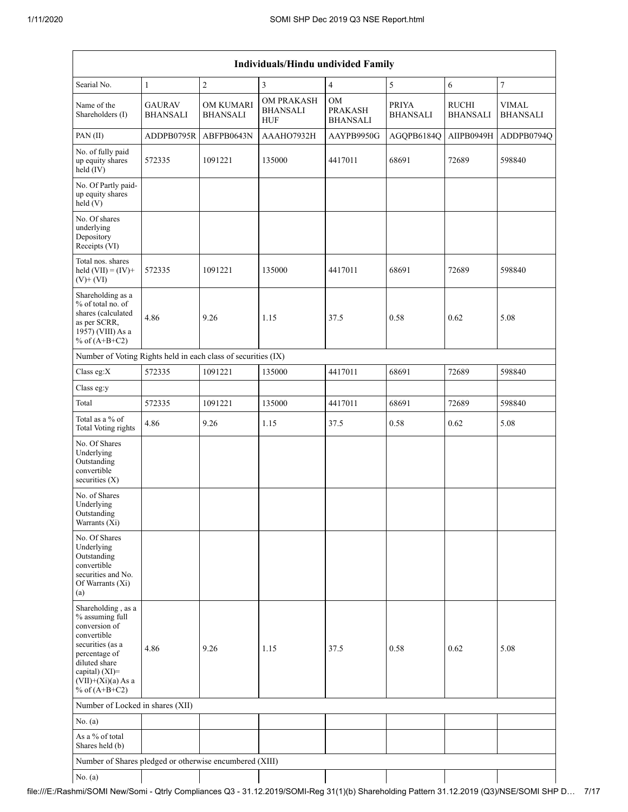| <b>Individuals/Hindu undivided Family</b>                                                                                                                                                |                                  |                                     |                                             |                                         |                                 |                                 |                                 |  |
|------------------------------------------------------------------------------------------------------------------------------------------------------------------------------------------|----------------------------------|-------------------------------------|---------------------------------------------|-----------------------------------------|---------------------------------|---------------------------------|---------------------------------|--|
| Searial No.                                                                                                                                                                              | $\mathbf{1}$                     | $\sqrt{2}$                          | 3                                           | $\overline{4}$                          | 5                               | 6                               | $\boldsymbol{7}$                |  |
| Name of the<br>Shareholders (I)                                                                                                                                                          | <b>GAURAV</b><br><b>BHANSALI</b> | <b>OM KUMARI</b><br><b>BHANSALI</b> | OM PRAKASH<br><b>BHANSALI</b><br><b>HUF</b> | OM<br><b>PRAKASH</b><br><b>BHANSALI</b> | <b>PRIYA</b><br><b>BHANSALI</b> | <b>RUCHI</b><br><b>BHANSALI</b> | <b>VIMAL</b><br><b>BHANSALI</b> |  |
| PAN (II)                                                                                                                                                                                 | ADDPB0795R                       | ABFPB0643N                          | AAAHO7932H                                  | AAYPB9950G                              | AGQPB6184Q                      | AIIPB0949H                      | ADDPB0794Q                      |  |
| No. of fully paid<br>up equity shares<br>held (IV)                                                                                                                                       | 572335                           | 1091221                             | 135000                                      | 4417011                                 | 68691                           | 72689                           | 598840                          |  |
| No. Of Partly paid-<br>up equity shares<br>held(V)                                                                                                                                       |                                  |                                     |                                             |                                         |                                 |                                 |                                 |  |
| No. Of shares<br>underlying<br>Depository<br>Receipts (VI)                                                                                                                               |                                  |                                     |                                             |                                         |                                 |                                 |                                 |  |
| Total nos. shares<br>held $(VII) = (IV) +$<br>$(V)$ + $(VI)$                                                                                                                             | 572335                           | 1091221                             | 135000                                      | 4417011                                 | 68691                           | 72689                           | 598840                          |  |
| Shareholding as a<br>% of total no. of<br>shares (calculated<br>as per SCRR,<br>1957) (VIII) As a<br>% of $(A+B+C2)$                                                                     | 4.86                             | 9.26                                | 1.15                                        | 37.5                                    | 0.58                            | 0.62                            | 5.08                            |  |
| Number of Voting Rights held in each class of securities (IX)                                                                                                                            |                                  |                                     |                                             |                                         |                                 |                                 |                                 |  |
| Class eg:X                                                                                                                                                                               | 572335                           | 1091221                             | 135000                                      | 4417011                                 | 68691                           | 72689                           | 598840                          |  |
| Class eg:y                                                                                                                                                                               |                                  |                                     |                                             |                                         |                                 |                                 |                                 |  |
| Total                                                                                                                                                                                    | 572335                           | 1091221                             | 135000                                      | 4417011                                 | 68691                           | 72689                           | 598840                          |  |
| Total as a % of<br><b>Total Voting rights</b>                                                                                                                                            | 4.86                             | 9.26                                | 1.15                                        | 37.5                                    | 0.58                            | 0.62                            | 5.08                            |  |
| No. Of Shares<br>Underlying<br>Outstanding<br>convertible<br>securities $(X)$                                                                                                            |                                  |                                     |                                             |                                         |                                 |                                 |                                 |  |
| No. of Shares<br>Underlying<br>Outstanding<br>Warrants (Xi)                                                                                                                              |                                  |                                     |                                             |                                         |                                 |                                 |                                 |  |
| No. Of Shares<br>Underlying<br>Outstanding<br>convertible<br>securities and No.<br>Of Warrants (Xi)<br>(a)                                                                               |                                  |                                     |                                             |                                         |                                 |                                 |                                 |  |
| Shareholding, as a<br>% assuming full<br>conversion of<br>convertible<br>securities (as a<br>percentage of<br>diluted share<br>capital) (XI)=<br>$(VII)+(Xi)(a)$ As a<br>% of $(A+B+C2)$ | 4.86                             | 9.26                                | 1.15                                        | 37.5                                    | 0.58                            | 0.62                            | 5.08                            |  |
| Number of Locked in shares (XII)                                                                                                                                                         |                                  |                                     |                                             |                                         |                                 |                                 |                                 |  |
| No. (a)                                                                                                                                                                                  |                                  |                                     |                                             |                                         |                                 |                                 |                                 |  |
| As a % of total<br>Shares held (b)                                                                                                                                                       |                                  |                                     |                                             |                                         |                                 |                                 |                                 |  |
| Number of Shares pledged or otherwise encumbered (XIII)                                                                                                                                  |                                  |                                     |                                             |                                         |                                 |                                 |                                 |  |
| No. $(a)$                                                                                                                                                                                |                                  |                                     |                                             |                                         |                                 |                                 |                                 |  |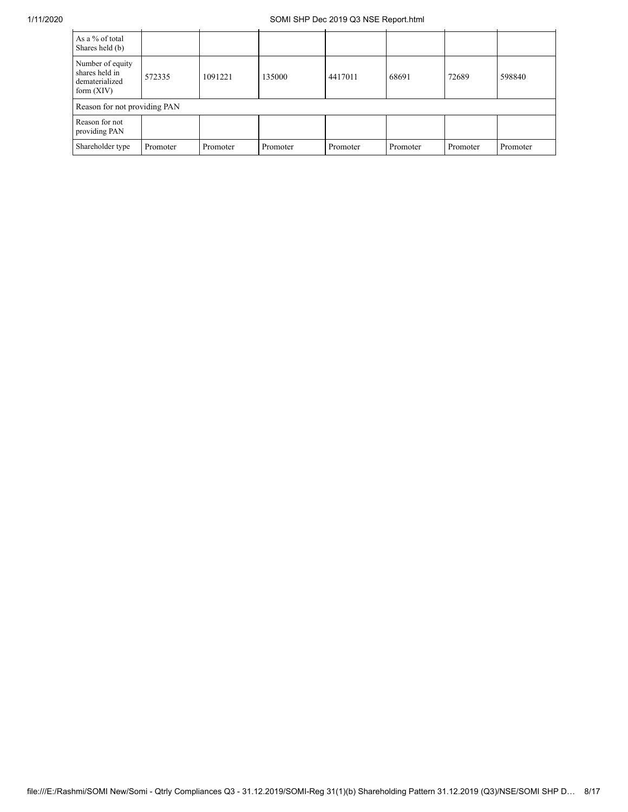## 1/11/2020 SOMI SHP Dec 2019 Q3 NSE Report.html

| As a % of total<br>Shares held (b)                                   |          |          |          |          |          |          |          |
|----------------------------------------------------------------------|----------|----------|----------|----------|----------|----------|----------|
| Number of equity<br>shares held in<br>dematerialized<br>form $(XIV)$ | 572335   | 1091221  | 135000   | 4417011  | 68691    | 72689    | 598840   |
| Reason for not providing PAN                                         |          |          |          |          |          |          |          |
| Reason for not<br>providing PAN                                      |          |          |          |          |          |          |          |
| Shareholder type                                                     | Promoter | Promoter | Promoter | Promoter | Promoter | Promoter | Promoter |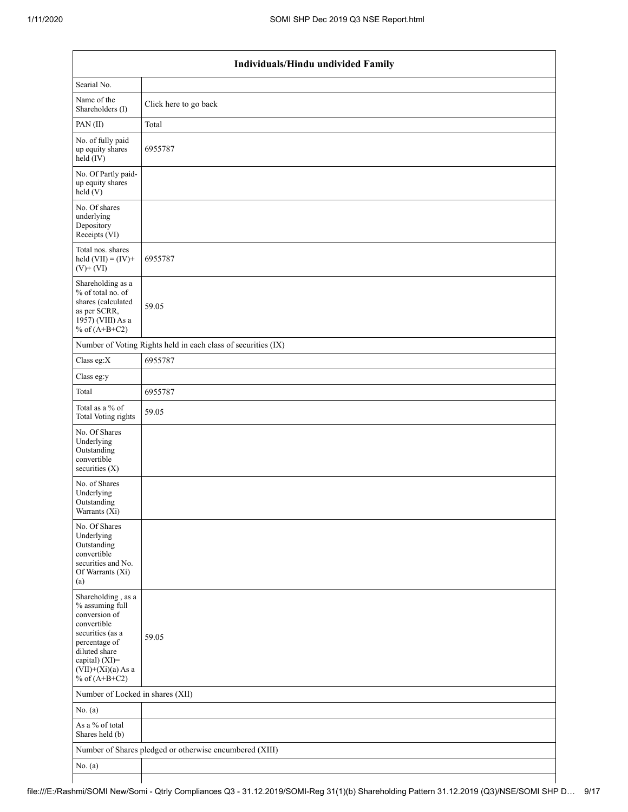| Individuals/Hindu undivided Family                                                                                                                                                       |                                                               |  |  |  |  |  |
|------------------------------------------------------------------------------------------------------------------------------------------------------------------------------------------|---------------------------------------------------------------|--|--|--|--|--|
| Searial No.                                                                                                                                                                              |                                                               |  |  |  |  |  |
| Name of the<br>Shareholders (I)                                                                                                                                                          | Click here to go back                                         |  |  |  |  |  |
| PAN(II)                                                                                                                                                                                  | Total                                                         |  |  |  |  |  |
| No. of fully paid<br>up equity shares<br>$held$ (IV)                                                                                                                                     | 6955787                                                       |  |  |  |  |  |
| No. Of Partly paid-<br>up equity shares<br>held (V)                                                                                                                                      |                                                               |  |  |  |  |  |
| No. Of shares<br>underlying<br>Depository<br>Receipts (VI)                                                                                                                               |                                                               |  |  |  |  |  |
| Total nos. shares<br>held $(VII) = (IV) +$<br>$(V)$ + $(VI)$                                                                                                                             | 6955787                                                       |  |  |  |  |  |
| Shareholding as a<br>% of total no. of<br>shares (calculated<br>as per SCRR,<br>1957) (VIII) As a<br>% of $(A+B+C2)$                                                                     | 59.05                                                         |  |  |  |  |  |
|                                                                                                                                                                                          | Number of Voting Rights held in each class of securities (IX) |  |  |  |  |  |
| Class eg:X                                                                                                                                                                               | 6955787                                                       |  |  |  |  |  |
| Class eg:y                                                                                                                                                                               |                                                               |  |  |  |  |  |
| Total                                                                                                                                                                                    | 6955787                                                       |  |  |  |  |  |
| Total as a % of<br>Total Voting rights                                                                                                                                                   | 59.05                                                         |  |  |  |  |  |
| No. Of Shares<br>Underlying<br>Outstanding<br>convertible<br>securities $(X)$                                                                                                            |                                                               |  |  |  |  |  |
| No. of Shares<br>Underlying<br>Outstanding<br>Warrants (Xi)                                                                                                                              |                                                               |  |  |  |  |  |
| No. Of Shares<br>Underlying<br>Outstanding<br>convertible<br>securities and No.<br>Of Warrants (Xi)<br>(a)                                                                               |                                                               |  |  |  |  |  |
| Shareholding, as a<br>% assuming full<br>conversion of<br>convertible<br>securities (as a<br>percentage of<br>diluted share<br>capital) (XI)=<br>$(VII)+(Xi)(a)$ As a<br>% of $(A+B+C2)$ | 59.05                                                         |  |  |  |  |  |
| Number of Locked in shares (XII)                                                                                                                                                         |                                                               |  |  |  |  |  |
| No. (a)                                                                                                                                                                                  |                                                               |  |  |  |  |  |
| As a % of total<br>Shares held (b)                                                                                                                                                       |                                                               |  |  |  |  |  |
|                                                                                                                                                                                          | Number of Shares pledged or otherwise encumbered (XIII)       |  |  |  |  |  |
| No. $(a)$                                                                                                                                                                                |                                                               |  |  |  |  |  |
|                                                                                                                                                                                          |                                                               |  |  |  |  |  |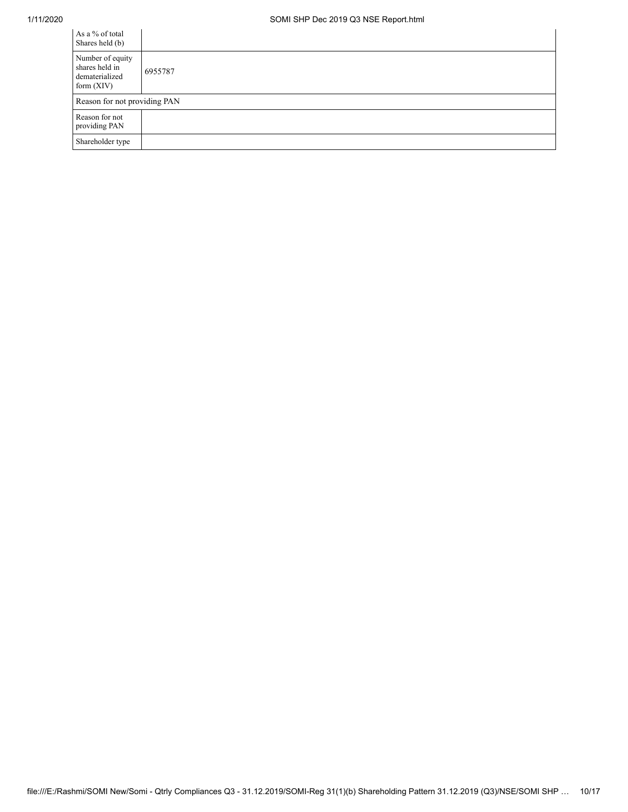| As a % of total<br>Shares held (b)                                   |         |
|----------------------------------------------------------------------|---------|
| Number of equity<br>shares held in<br>dematerialized<br>form $(XIV)$ | 6955787 |
| Reason for not providing PAN                                         |         |
| Reason for not<br>providing PAN                                      |         |
| Shareholder type                                                     |         |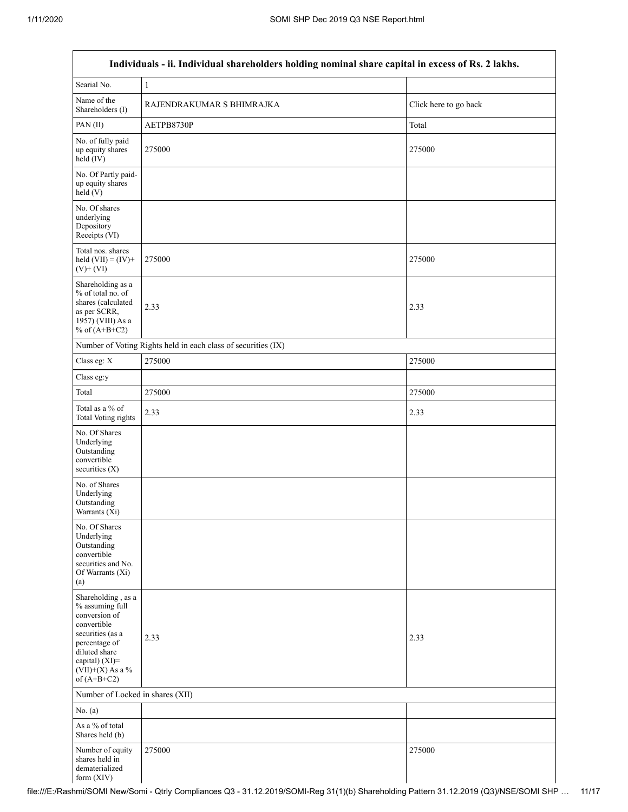$\mathsf I$ 

| Individuals - ii. Individual shareholders holding nominal share capital in excess of Rs. 2 lakhs.                                                                                    |                                                               |                       |  |  |  |  |  |
|--------------------------------------------------------------------------------------------------------------------------------------------------------------------------------------|---------------------------------------------------------------|-----------------------|--|--|--|--|--|
| Searial No.                                                                                                                                                                          | $\,1\,$                                                       |                       |  |  |  |  |  |
| Name of the<br>Shareholders (I)                                                                                                                                                      | RAJENDRAKUMAR S BHIMRAJKA                                     | Click here to go back |  |  |  |  |  |
| PAN(II)                                                                                                                                                                              | AETPB8730P                                                    | Total                 |  |  |  |  |  |
| No. of fully paid<br>up equity shares<br>$held$ (IV)                                                                                                                                 | 275000                                                        | 275000                |  |  |  |  |  |
| No. Of Partly paid-<br>up equity shares<br>held(V)                                                                                                                                   |                                                               |                       |  |  |  |  |  |
| No. Of shares<br>underlying<br>Depository<br>Receipts (VI)                                                                                                                           |                                                               |                       |  |  |  |  |  |
| Total nos. shares<br>held $(VII) = (IV) +$<br>$(V)$ + $(VI)$                                                                                                                         | 275000                                                        | 275000                |  |  |  |  |  |
| Shareholding as a<br>% of total no. of<br>shares (calculated<br>as per SCRR,<br>1957) (VIII) As a<br>% of $(A+B+C2)$                                                                 | 2.33                                                          | 2.33                  |  |  |  |  |  |
|                                                                                                                                                                                      | Number of Voting Rights held in each class of securities (IX) |                       |  |  |  |  |  |
| Class eg: X                                                                                                                                                                          | 275000                                                        | 275000                |  |  |  |  |  |
| Class eg:y                                                                                                                                                                           |                                                               |                       |  |  |  |  |  |
| Total                                                                                                                                                                                | 275000                                                        | 275000                |  |  |  |  |  |
| Total as a % of<br><b>Total Voting rights</b>                                                                                                                                        | 2.33                                                          | 2.33                  |  |  |  |  |  |
| No. Of Shares<br>Underlying<br>Outstanding<br>convertible<br>securities (X)                                                                                                          |                                                               |                       |  |  |  |  |  |
| No. of Shares<br>Underlying<br>Outstanding<br>Warrants (Xi)                                                                                                                          |                                                               |                       |  |  |  |  |  |
| No. Of Shares<br>Underlying<br>Outstanding<br>convertible<br>securities and No.<br>Of Warrants (Xi)<br>(a)                                                                           |                                                               |                       |  |  |  |  |  |
| Shareholding, as a<br>% assuming full<br>conversion of<br>convertible<br>securities (as a<br>percentage of<br>diluted share<br>capital) (XI)=<br>$(VII)+(X)$ As a %<br>of $(A+B+C2)$ | 2.33                                                          | 2.33                  |  |  |  |  |  |
| Number of Locked in shares (XII)                                                                                                                                                     |                                                               |                       |  |  |  |  |  |
| No. (a)                                                                                                                                                                              |                                                               |                       |  |  |  |  |  |
| As a $\%$ of total<br>Shares held (b)                                                                                                                                                |                                                               |                       |  |  |  |  |  |
| Number of equity<br>shares held in<br>dematerialized<br>form (XIV)                                                                                                                   | 275000                                                        | 275000                |  |  |  |  |  |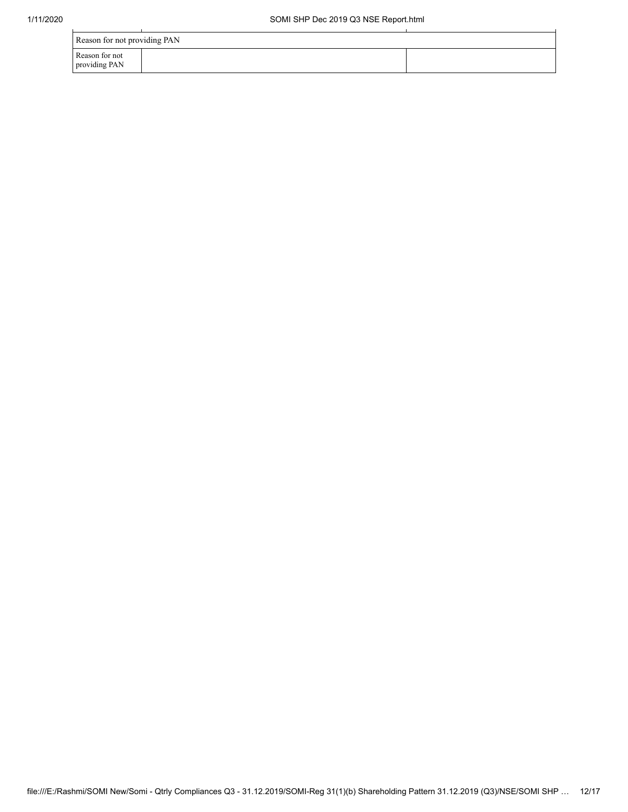| Reason for not providing PAN    |  |  |  |  |  |  |
|---------------------------------|--|--|--|--|--|--|
| Reason for not<br>providing PAN |  |  |  |  |  |  |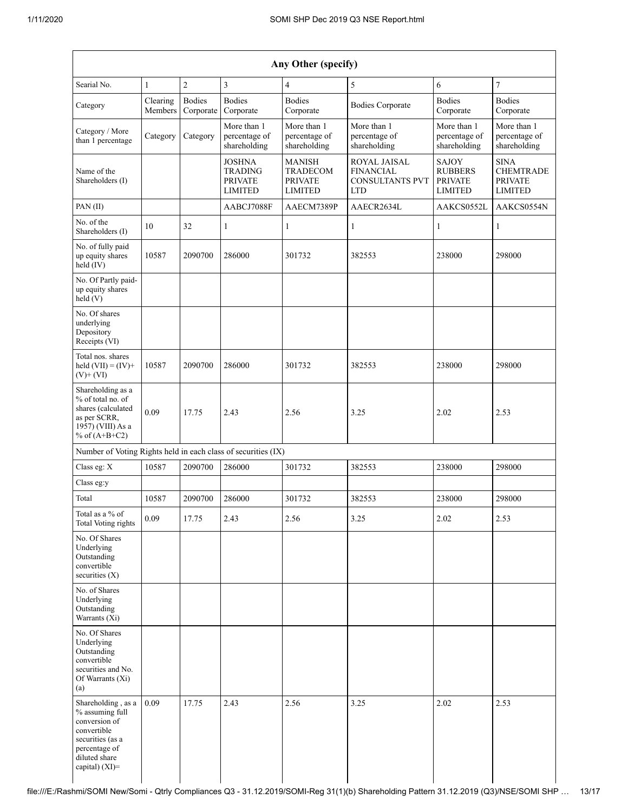| Any Other (specify)                                                                                                                              |                     |                                                                     |                                                               |                                                                          |                                                             |                                                                     |                            |  |  |  |
|--------------------------------------------------------------------------------------------------------------------------------------------------|---------------------|---------------------------------------------------------------------|---------------------------------------------------------------|--------------------------------------------------------------------------|-------------------------------------------------------------|---------------------------------------------------------------------|----------------------------|--|--|--|
| Searial No.                                                                                                                                      | 1                   | $\overline{2}$                                                      | $\mathfrak{Z}$                                                | $\overline{4}$                                                           | 5                                                           | 6                                                                   | $\overline{7}$             |  |  |  |
| Category                                                                                                                                         | Clearing<br>Members | <b>Bodies</b><br>Corporate                                          | <b>Bodies</b><br>Corporate                                    | <b>Bodies</b><br>Corporate                                               | <b>Bodies Corporate</b>                                     | <b>Bodies</b><br>Corporate                                          | <b>Bodies</b><br>Corporate |  |  |  |
| Category / More<br>Category<br>Category<br>than 1 percentage                                                                                     |                     | More than 1<br>percentage of<br>shareholding                        | More than 1<br>percentage of<br>shareholding                  | More than 1<br>percentage of<br>shareholding                             | More than 1<br>percentage of<br>shareholding                | More than 1<br>percentage of<br>shareholding                        |                            |  |  |  |
| Name of the<br>Shareholders (I)                                                                                                                  |                     | <b>JOSHNA</b><br><b>TRADING</b><br><b>PRIVATE</b><br><b>LIMITED</b> | <b>MANISH</b><br>TRADECOM<br><b>PRIVATE</b><br><b>LIMITED</b> | ROYAL JAISAL<br><b>FINANCIAL</b><br><b>CONSULTANTS PVT</b><br><b>LTD</b> | SAJOY<br><b>RUBBERS</b><br><b>PRIVATE</b><br><b>LIMITED</b> | <b>SINA</b><br><b>CHEMTRADE</b><br><b>PRIVATE</b><br><b>LIMITED</b> |                            |  |  |  |
| PAN(II)                                                                                                                                          |                     |                                                                     | AABCJ7088F                                                    | AAECM7389P                                                               | AAECR2634L                                                  | AAKCS0552L                                                          | AAKCS0554N                 |  |  |  |
| No. of the<br>Shareholders (I)                                                                                                                   | 10                  | 32                                                                  | $\mathbf{1}$                                                  | 1                                                                        | $\mathbf{1}$                                                | $\mathbf{1}$                                                        | 1                          |  |  |  |
| No. of fully paid<br>up equity shares<br>held (IV)                                                                                               | 10587               | 2090700                                                             | 286000                                                        | 301732                                                                   | 382553                                                      | 238000                                                              | 298000                     |  |  |  |
| No. Of Partly paid-<br>up equity shares<br>held(V)                                                                                               |                     |                                                                     |                                                               |                                                                          |                                                             |                                                                     |                            |  |  |  |
| No. Of shares<br>underlying<br>Depository<br>Receipts (VI)                                                                                       |                     |                                                                     |                                                               |                                                                          |                                                             |                                                                     |                            |  |  |  |
| Total nos. shares<br>held $(VII) = (IV) +$<br>10587<br>$(V)+(VI)$                                                                                |                     | 2090700                                                             | 286000                                                        | 301732                                                                   | 382553                                                      | 238000                                                              | 298000                     |  |  |  |
| Shareholding as a<br>% of total no. of<br>shares (calculated<br>0.09<br>as per SCRR,<br>1957) (VIII) As a<br>% of $(A+B+C2)$                     |                     | 17.75                                                               | 2.43                                                          | 2.56<br>3.25                                                             |                                                             | 2.02                                                                | 2.53                       |  |  |  |
| Number of Voting Rights held in each class of securities (IX)                                                                                    |                     |                                                                     |                                                               |                                                                          |                                                             |                                                                     |                            |  |  |  |
| Class eg: X                                                                                                                                      | 10587               | 2090700                                                             | 286000                                                        | 301732                                                                   | 382553                                                      | 238000                                                              | 298000                     |  |  |  |
| Class eg:y                                                                                                                                       |                     |                                                                     |                                                               |                                                                          |                                                             |                                                                     |                            |  |  |  |
| Total                                                                                                                                            | 10587               | 2090700                                                             | 286000                                                        | 301732                                                                   | 382553                                                      | 238000                                                              | 298000                     |  |  |  |
| Total as a $\%$ of<br>Total Voting rights                                                                                                        | 0.09                | 17.75                                                               | 2.43                                                          | 2.56                                                                     | 3.25                                                        | 2.02                                                                | 2.53                       |  |  |  |
| No. Of Shares<br>Underlying<br>Outstanding<br>convertible<br>securities $(X)$                                                                    |                     |                                                                     |                                                               |                                                                          |                                                             |                                                                     |                            |  |  |  |
| No. of Shares<br>Underlying<br>Outstanding<br>Warrants (Xi)                                                                                      |                     |                                                                     |                                                               |                                                                          |                                                             |                                                                     |                            |  |  |  |
| No. Of Shares<br>Underlying<br>Outstanding<br>convertible<br>securities and No.<br>Of Warrants (Xi)<br>(a)                                       |                     |                                                                     |                                                               |                                                                          |                                                             |                                                                     |                            |  |  |  |
| Shareholding, as a<br>% assuming full<br>conversion of<br>convertible<br>securities (as a<br>percentage of<br>diluted share<br>capital) $(XI)$ = | 0.09                | 17.75                                                               | 2.43                                                          | 2.56                                                                     | 3.25                                                        | 2.02                                                                | 2.53                       |  |  |  |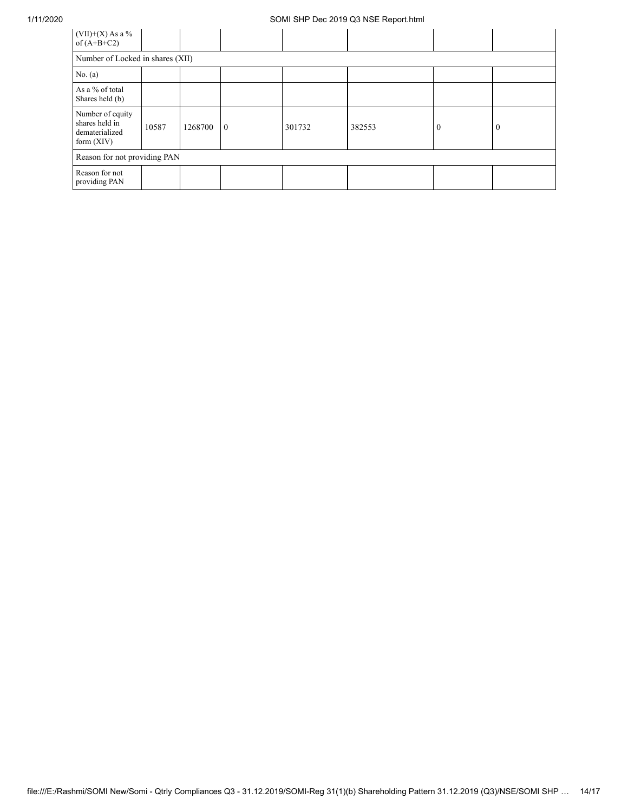## 1/11/2020 SOMI SHP Dec 2019 Q3 NSE Report.html

| $(VII)+(X)$ As a %<br>of $(A+B+C2)$                                  |       |         |                |        |        |          |          |  |  |  |
|----------------------------------------------------------------------|-------|---------|----------------|--------|--------|----------|----------|--|--|--|
| Number of Locked in shares (XII)                                     |       |         |                |        |        |          |          |  |  |  |
| No. $(a)$                                                            |       |         |                |        |        |          |          |  |  |  |
| As a % of total<br>Shares held (b)                                   |       |         |                |        |        |          |          |  |  |  |
| Number of equity<br>shares held in<br>dematerialized<br>form $(XIV)$ | 10587 | 1268700 | $\overline{0}$ | 301732 | 382553 | $\theta$ | $\theta$ |  |  |  |
| Reason for not providing PAN                                         |       |         |                |        |        |          |          |  |  |  |
| Reason for not<br>providing PAN                                      |       |         |                |        |        |          |          |  |  |  |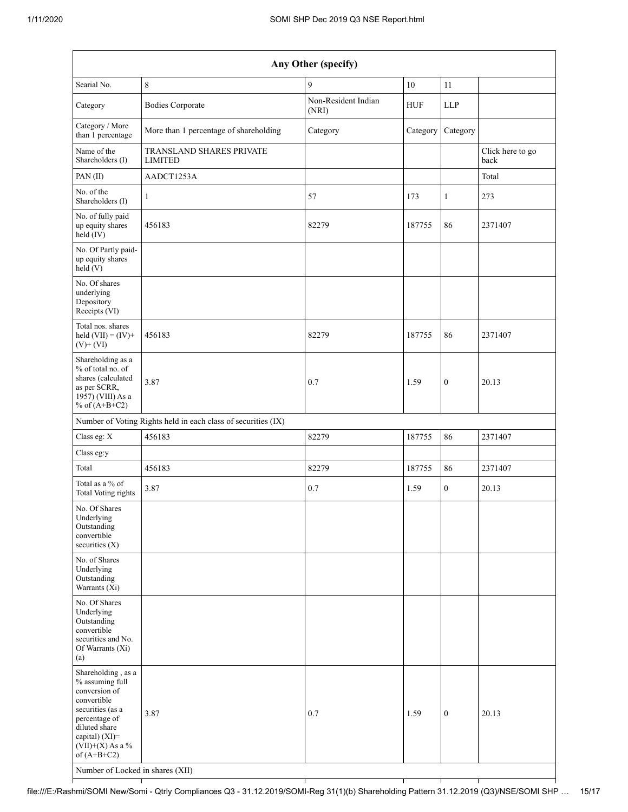| Any Other (specify)                                                                                                                                                                                                      |                                                               |                              |            |                  |                          |  |  |  |  |  |  |
|--------------------------------------------------------------------------------------------------------------------------------------------------------------------------------------------------------------------------|---------------------------------------------------------------|------------------------------|------------|------------------|--------------------------|--|--|--|--|--|--|
| Searial No.                                                                                                                                                                                                              | 8                                                             | 9                            | 10         | 11               |                          |  |  |  |  |  |  |
| Category                                                                                                                                                                                                                 | <b>Bodies Corporate</b>                                       | Non-Resident Indian<br>(NRI) | <b>HUF</b> | <b>LLP</b>       |                          |  |  |  |  |  |  |
| Category / More<br>than 1 percentage                                                                                                                                                                                     | More than 1 percentage of shareholding                        | Category                     | Category   | Category         |                          |  |  |  |  |  |  |
| Name of the<br>Shareholders (I)                                                                                                                                                                                          | TRANSLAND SHARES PRIVATE<br><b>LIMITED</b>                    |                              |            |                  | Click here to go<br>back |  |  |  |  |  |  |
| PAN (II)                                                                                                                                                                                                                 | AADCT1253A                                                    |                              |            |                  | Total                    |  |  |  |  |  |  |
| No. of the<br>Shareholders (I)                                                                                                                                                                                           | 1                                                             | 57                           | 173        | $\mathbf{1}$     | 273                      |  |  |  |  |  |  |
| No. of fully paid<br>up equity shares<br>held (IV)                                                                                                                                                                       | 456183                                                        | 82279                        | 187755     | 86               | 2371407                  |  |  |  |  |  |  |
| No. Of Partly paid-<br>up equity shares<br>held(V)                                                                                                                                                                       |                                                               |                              |            |                  |                          |  |  |  |  |  |  |
| No. Of shares<br>underlying<br>Depository<br>Receipts (VI)                                                                                                                                                               |                                                               |                              |            |                  |                          |  |  |  |  |  |  |
| Total nos. shares<br>held $(VII) = (IV) +$<br>$(V)$ + $(VI)$                                                                                                                                                             | 456183                                                        | 82279                        | 187755     | 86               | 2371407                  |  |  |  |  |  |  |
| Shareholding as a<br>% of total no. of<br>shares (calculated<br>as per SCRR,<br>1957) (VIII) As a<br>% of $(A+B+C2)$                                                                                                     | 3.87                                                          | 0.7                          | 1.59       | $\boldsymbol{0}$ | 20.13                    |  |  |  |  |  |  |
|                                                                                                                                                                                                                          | Number of Voting Rights held in each class of securities (IX) |                              |            |                  |                          |  |  |  |  |  |  |
| Class eg: X                                                                                                                                                                                                              | 456183                                                        | 82279                        | 187755     | 86               | 2371407                  |  |  |  |  |  |  |
| Class eg:y                                                                                                                                                                                                               |                                                               |                              |            |                  |                          |  |  |  |  |  |  |
| Total                                                                                                                                                                                                                    | 456183                                                        | 82279                        | 187755     | 86               | 2371407                  |  |  |  |  |  |  |
| Total as a % of<br><b>Total Voting rights</b>                                                                                                                                                                            | 3.87                                                          | 0.7                          | 1.59       | $\mathbf{0}$     | 20.13                    |  |  |  |  |  |  |
| No. Of Shares<br>Underlying<br>Outstanding<br>convertible<br>securities $(X)$                                                                                                                                            |                                                               |                              |            |                  |                          |  |  |  |  |  |  |
| No. of Shares<br>Underlying<br>Outstanding<br>Warrants (Xi)                                                                                                                                                              |                                                               |                              |            |                  |                          |  |  |  |  |  |  |
| No. Of Shares<br>Underlying<br>Outstanding<br>convertible<br>securities and No.<br>Of Warrants (Xi)<br>(a)                                                                                                               |                                                               |                              |            |                  |                          |  |  |  |  |  |  |
| Shareholding, as a<br>% assuming full<br>conversion of<br>convertible<br>securities (as a<br>percentage of<br>diluted share<br>capital) (XI)=<br>$(VII)+(X)$ As a %<br>of $(A+B+C2)$<br>Number of Locked in shares (XII) | 3.87                                                          | 0.7                          | 1.59       | $\mathbf{0}$     | 20.13                    |  |  |  |  |  |  |

T

┯

┯

т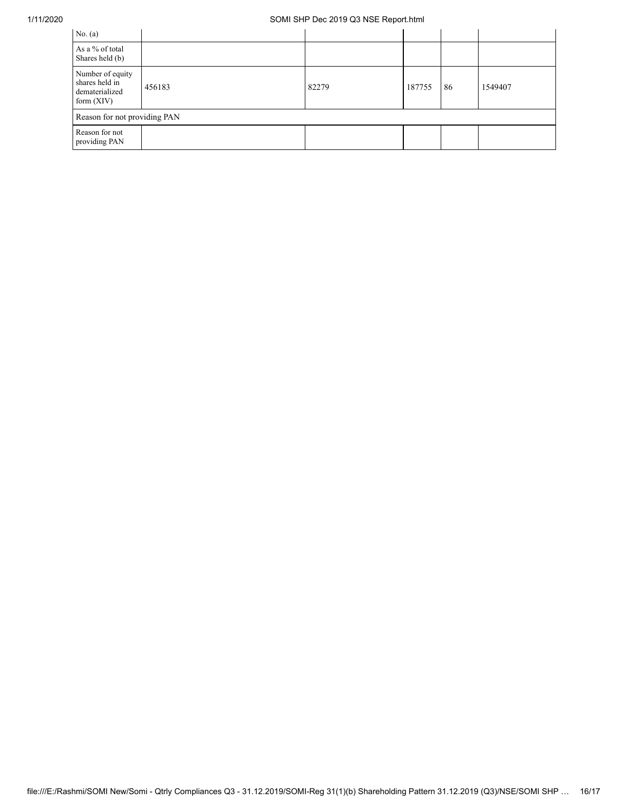## 1/11/2020 SOMI SHP Dec 2019 Q3 NSE Report.html

| No. $(a)$                                                            |        |       |        |    |         |  |  |  |  |
|----------------------------------------------------------------------|--------|-------|--------|----|---------|--|--|--|--|
| As a % of total<br>Shares held (b)                                   |        |       |        |    |         |  |  |  |  |
| Number of equity<br>shares held in<br>dematerialized<br>form $(XIV)$ | 456183 | 82279 | 187755 | 86 | 1549407 |  |  |  |  |
| Reason for not providing PAN                                         |        |       |        |    |         |  |  |  |  |
| Reason for not<br>providing PAN                                      |        |       |        |    |         |  |  |  |  |